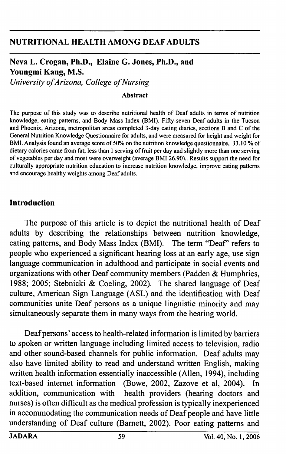#### NUTRITIONAL HEALTH AMONG DEAF ADULTS

# Neva L. Crogan, Ph.D., Elaine G. Jones, Ph.D., and Youngmi Kang, M.S.

University of Arizona, College of Nursing

#### Abstract

The purpose of this study was to describe nutritional health of Deaf adults in terms of nutrition knowledge, eating patterns, and Body Mass Index (BMI). Fifty-seven Deaf adults in the Tucson and Phoenix, Arizona, metropolitan areas completed 3-day eating diaries, sections B and C of the General Nutrition Knowledge Questionnaire for adults, and were measured for height and weight for BMI. Analysis found an average score of 50% on the nutrition knowledge questionnaire, 33.10 % of dietary calories came from fat; less than 1 serving of fruit per day and slightly more than one serving of vegetables per day and most were overweight (average BMI 26.90).. Results support the need for culturally appropriate nutrition education to increase nutrition knowledge, improve eating patterns and encourage healthy weights among Deaf adults.

#### Introduction

The purpose of this article is to depict the nutritional health of Deaf adults by describing the relationships between nutrition knowledge, eating patterns, and Body Mass Index (BMI). The term "Deaf" refers to people who experienced a significant hearing loss at an early age, use sign language communication in adulthood and participate in social events and organizations with other Deaf community members (Padden & Humphries, 1988; 2005; Stebnicki & Coeling, 2002). The shared language of Deaf culture, American Sign Language (ASL) and the identification with Deaf communities unite Deaf persons as a unique linguistic minority and may simultaneously separate them in many ways from the hearing world.

Deaf persons' access to health-related information is limited by barriers to spoken or written language including limited access to television, radio and other sound-based charmels for public information. Deaf adults may also have limited ability to read and understand written English, making written health information essentially inaccessible (Allen, 1994), including text-based internet information (Bowe, 2002, Zazove et al, 2004). In addition, communication with health providers (hearing doctors and nurses) is often difficult as the medical profession is typically inexperienced in accommodating the communication needs of Deaf people and have little understanding of Deaf culture (Bamett, 2002). Poor eating patterns and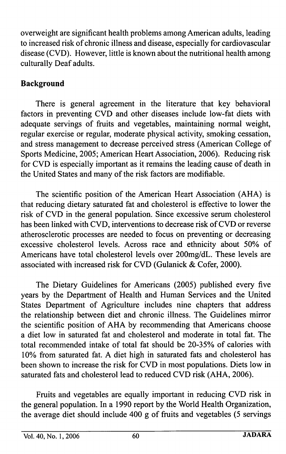overweight are significant health problems among American adults, leading to increased risk of chronic illness and disease, especially for cardiovascular disease (CVD). However, little is known about the nutritional health among culturally Deaf adults.

## Background

There is general agreement in the literature that key behavioral factors in preventing CVD and other diseases include low-fat diets with adequate servings of fruits and vegetables, maintaining normal weight, regular exercise or regular, moderate physical activity, smoking cessation, and stress management to decrease perceived stress (American College of Sports Medicine, 2005; American Heart Association, 2006). Reducing risk for CVD is especially important as it remains the leading cause of death in the United States and many of the risk factors are modifiable.

The scientific position of the American Heart Association (AHA) is that reducing dietary saturated fat and cholesterol is effective to lower the risk of CVD in the general population. Since excessive serum cholesterol has been linked with CVD, interventions to decrease risk of CVD or reverse atherosclerotic processes are needed to focus on preventing or decreasing excessive cholesterol levels. Across race and ethnicity about 50% of Americans have total cholesterol levels over 200mg/dL. These levels are associated with increased risk for CVD (Gulanick & Cofer, 2000).

The Dietary Guidelines for Americans (2005) published every five years by the Department of Health and Human Services and the United States Department of Agriculture includes nine chapters that address the relationship between diet and chronic illness. The Guidelines mirror the scientific position of AHA by recommending that Americans choose a diet low in saturated fat and cholesterol and moderate in total fat. The total recommended intake of total fat should be 20-35% of calories with 10% from saturated fat. A diet high in saturated fats and cholesterol has been shown to increase the risk for CVD in most populations. Diets low in saturated fats and cholesterol lead to reduced CVD risk (AHA, 2006).

Fruits and vegetables are equally important in reducing CVD risk in the general population. In a 1990 report by the World Health Organization, the average diet should include 400 g of fruits and vegetables (5 servings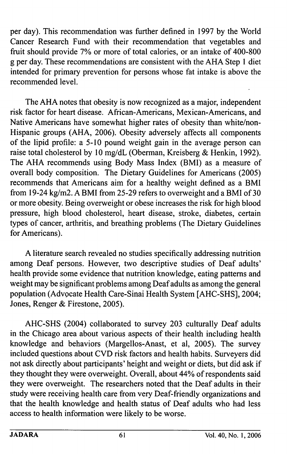per day). This recommendation was further defined in 1997 by the World Cancer Research Fund with their recommendation that vegetables and fruit should provide 7% or more of total calories, or an intake of 400-800 g per day. These recommendations are consistent with the AHA Step 1 diet intended for primary prevention for persons whose fat intake is above the recommended level.

The AHA notes that obesity is now recognized as a major, independent risk factor for heart disease. African-Americans, Mexican-Americans, and Native Americans have somewhat higher rates of obesity than white/non-Hispanic groups (AHA, 2006). Obesity adversely affects all components of the lipid profile: a 5-10 pound weight gain in the average person can raise total cholesterol by 10 mg/dL (Oberman, Kreisberg & Henkin, 1992). The AHA recommends using Body Mass Index (BMl) as a measure of overall body composition. The Dietary Guidelines for Americans (2005) recommends that Americans aim for a healthy weight defined as a BMI from 19-24 kg/m2. A BMI from 25-29 refers to overweight and a BMI of 30 or more obesity. Being overweight or obese increases the risk for high blood pressure, high blood cholesterol, heart disease, stroke, diabetes, certain types of cancer, arthritis, and breathing problems (The Dietary Guidelines for Americans).

A literature search revealed no studies specifically addressing nutrition among Deaf persons. However, two descriptive studies of Deaf adults' health provide some evidence that nutrition knowledge, eating patterns and weight may be significant problems among Deaf adults as among the general population (Advocate Health Care-Sinai Health System [AHC-SHS], 2004; Jones, Renger & Firestone, 2005).

AHC-SHS (2004) collaborated to survey 203 culturally Deaf adults in the Chicago area about various aspects of their health including health knowledge and behaviors (Margellos-Anast, et al, 2005). The survey included questions about CVD risk factors and health habits. Surveyers did not ask directly about participants' height and weight or diets, but did ask if they thought they were overweight. Overall, about 44% of respondents said they were overweight. The researchers noted that the Deaf adults in their study were receiving health care from very Deaf-friendly organizations and that the health knowledge and health status of Deaf adults who had less access to health information were likely to be worse.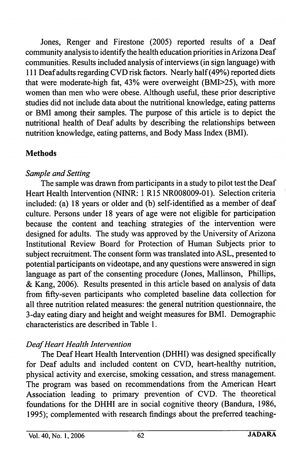Jones, Renger and Firestone (2005) reported results of a Deaf community analysis to identify the health education priorities in Arizona Deaf communities. Results included analysis of interviews (in sign language) with 111 Deaf adults regarding CVD risk factors. Nearly half (49%) reported diets that were moderate-high fat, 43% were overweight (BMI>25), with more women than men who were obese. Although useful, these prior descriptive studies did not include data about the nutritional knowledge, eating patterns or BMI among their samples. The purpose of this article is to depict the nutritional health of Deaf adults by describing the relationships between nutrition knowledge, eating patterns, and Body Mass Index (BMI).

#### **Methods**

## Sample and Setting

The sample was drawn from participants in a study to pilot test the Deaf Heart Health Intervention (NINR: 1 R15 NR008009-01). Selection criteria included: (a) 18 years or older and (b) self-identified as a member of deaf culture. Persons under 18 years of age were not eligible for participation because the content and teaching strategies of the intervention were designed for adults. The study was approved by the University of Arizona Institutional Review Board for Protection of Human Subjects prior to subject recruitment. The consent form was translated into ASL, presented to potential participants on videotape, and any questions were answered in sign language as part of the consenting procedure (Jones, Mallinson, Phillips, & Kang, 2006). Results presented in this article based on analysis of data from fifty-seven participants who completed baseline data collection for all three nutrition related measures: the general nutrition questionnaire, the 3-day eating diary and height and weight measures for BMI. Demographic characteristics are described in Table 1.

# Deaf Heart Health Intervention

The Deaf Heart Health Intervention (DHHI) was designed specifically for Deaf adults and included content on CVD, heart-healthy nutrition, physical activity and exercise, smoking cessation, and stress management. The program was based on recommendations from the American Heart Association leading to primary prevention of CVD. The theoretical foundations for the DHHI are in social cognitive theory (Bandura, 1986, 1995); complemented with research findings about the preferred teaching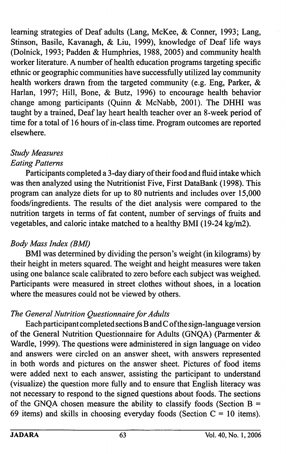learning strategies of Deaf adults (Lang, McKee, & Conner, 1993; Lang, Stinson, Basile, Kavanagh, & Liu, 1999), knowledge of Deaf life ways (Dolnick, 1993; Padden & Humphries, 1988, 2005) and community health worker literature. A number of health education programs targeting specific ethnic or geographic communities have successfully utilized lay community health workers drawn from the targeted community (e.g. Eng, Parker, & Harlan, 1997; Hill, Bone, & Butz, 1996) to encourage health behavior change among participants (Quinn & McNabb, 2001). The DHHI was taught by a trained. Deaf lay heart health teacher over an 8-week period of time for a total of 16 hours of in-class time. Program outcomes are reported elsewhere.

### Study Measures Eating Patterns

Participants completed a 3-day diary of their food and fluid intake which was then analyzed using the Nutritionist Five, First DataBank (1998). This program can analyze diets for up to 80 nutrients and includes over 15,000 foods/ingredients. The results of the diet analysis were compared to the nutrition targets in terms of fat content, number of servings of fruits and vegetables, and caloric intake matched to a healthy BMI (19-24 kg/m2).

#### Body Mass Index (BMI)

BMI was determined by dividing the person's weight (in kilograms) by their height in meters squared. The weight and height measures were taken using one balance scale calibrated to zero before each subject was weighed. Participants were measured in street clothes without shoes, in a location where the measures could not be viewed by others.

#### The General Nutrition Questionnaire for Adults

Each participant completed sections B and C ofthe sign-language version of the General Nutrition Questionnaire for Adults (GNQA) (Parmenter & Wardle, 1999). The questions were administered in sign language on video and answers were circled on an answer sheet, with answers represented in both words and pictures on the answer sheet. Pictures of food items were added next to each answer, assisting the participant to understand (visualize) the question more fully and to ensure that English literacy was not necessary to respond to the signed questions about foods. The sections of the GNQA chosen measure the ability to classify foods (Section  $B =$ 69 items) and skills in choosing everyday foods (Section  $C = 10$  items).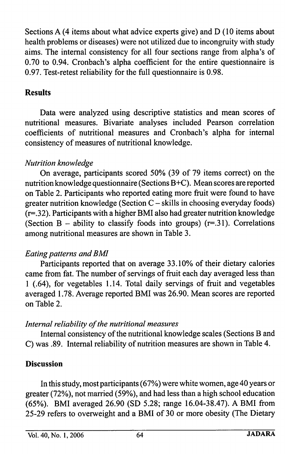Sections A (4 items about what advice experts give) and D (10 items about health problems or diseases) were not utilized due to incongruity with study aims. The internal consistency for all four sections range from alpha's of 0.70 to 0.94. Cronbach's alpha coefficient for the entire questionnaire is 0.97. Test-retest reliability for the full questionnaire is 0.98.

#### Results

Data were analyzed using descriptive statistics and mean scores of nutritional measures. Bivariate analyses included Pearson correlation coefficients of nutritional measures and Cronbach's alpha for internal consistency of measures of nutritional knowledge.

## Nutrition knowledge

On average, participants scored 50% (39 of 79 items correct) on the nutrition knowledge questionnaire (Sections B+C). Mean scores are reported on Table 2. Participants who reported eating more fruit were found to have greater nutrition knowledge (Section  $C$  – skills in choosing everyday foods)  $(r=.32)$ . Participants with a higher BMI also had greater nutrition knowledge (Section B – ability to classify foods into groups)  $(r=.31)$ . Correlations among nutritional measures are shown in Table 3.

#### Eating patterns and BMI

Participants reported that on average 33.10% of their dietary calories came from fat. The number of servings of fruit each day averaged less than 1 (.64), for vegetables 1.14. Total daily servings of fruit and vegetables averaged 1.78. Average reported BMI was 26.90. Mean scores are reported on Table 2.

#### Internal reliability of the nutritional measures

Intemal consistency of the nutritional knowledge scales (Sections B and C) was .89. Intemal reliability of nutrition measures are shown in Table 4.

#### Discussion

In this study, most participants (67%) were white women, age 40 years or greater (72%), not married (59%), and had less than a high school education (65%). BMI averaged 26.90 (SD 5.28; range 16.04-38.47). A BMI from 25-29 refers to overweight and a BMI of 30 or more obesity (The Dietary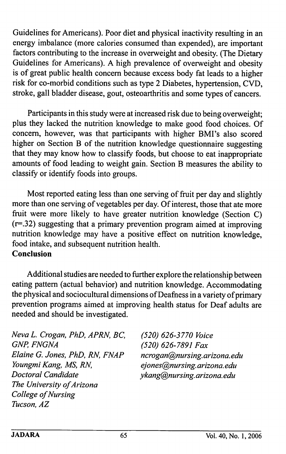Guidelines for Americans). Poor diet and physical inactivity resulting in an energy imbalance (more calories consumed than expended), are important factors contributing to the increase in overweight and obesity. (The Dietary Guidelines for Americans). A high prevalence of overweight and obesity is of great public health concern because excess body fat leads to a higher risk for co-morbid conditions such as type 2 Diabetes, hypertension, CVD, stroke, gall bladder disease, gout, osteoarthritis and some types of cancers.

Participants in this study were at increased risk due to being overweight; plus they lacked the nutrition knowledge to make good food choices. Of concern, however, was that participants with higher BMI's also scored higher on Section B of the nutrition knowledge questionnaire suggesting that they may know how to classify foods, but choose to eat inappropriate amounts of food leading to weight gain. Section B measures the ability to classify or identify foods into groups.

Most reported eating less than one serving of fruit per day and slightly more than one serving of vegetables per day. Of interest, those that ate more fruit were more likely to have greater nutrition knowledge (Section C) (r=.32) suggesting that a primary prevention program aimed at improving nutrition knowledge may have a positive effect on nutrition knowledge, food intake, and subsequent nutrition health. Conclusion

Additional studies are needed to further explore the relationship between eating pattern (actual behavior) and nutrition knowledge. Accommodating the physical and sociocultural dimensions of Deafness in a variety of primary prevention programs aimed at improving health status for Deaf adults are needed and should be investigated.

Neva L. Crogan, PhD, APRN, BC, (520) 626-3770 Voice<br>GNP, FNGNA (520) 626-7891 Fax Elaine G. Jones, PhD, RN, FNAP ncrogan@nursing.arizona.edu<br>Youngmi Kang, MS, RN, energy ejones@nursing.arizona.edu Doctoral Candidate ykang@nursing.arizona.edu The University of Arizona College of Nursing Tucson, AZ

(520) 626-7891 Fax ejones@nursing.arizona.edu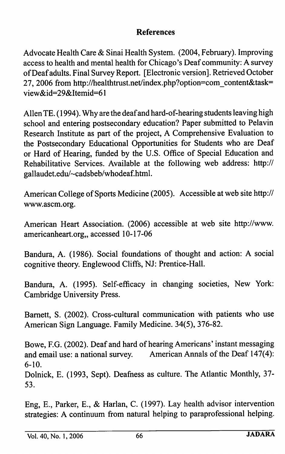#### References

Advocate Health Care & Sinai Health System. (2004, February). Improving access to health and mental health for Chicago's Deaf community: A survey of Deaf adults. Final Survey Report. [Electronic version]. Retrieved October 27, 2006 from http://healthtrust.net/index.php?option=com\_content&task= view&id=29&Itemid=61

Allen TE. (1994). Why are the deaf and hard-of-hearing students leaving high school and entering postsecondary education? Paper submitted to Pelavin Research Institute as part of the project, A Comprehensive Evaluation to the Postsecondary Educational Opportunities for Students who are Deaf or Hard of Hearing, funded by the U.S. Office of Special Education and Rehabilitative Services. Available at the following web address: http:// gallaudet.edu/~cadsbeb/whodeaf.html.

American College of Sports Medicine (2005). Accessible at web site http:// www.ascm.org.

American Heart Association. (2006) accessible at web site http://www. americanheart.org,, accessed 10-17-06

Bandura, A. (1986). Social foundations of thought and action: A social cognitive theory. Englewood Cliffs, NJ: Prentice-Hall.

Bandura, A. (1995). Self-efficacy in changing societies. New York: Cambridge University Press.

Bamett, S. (2002). Cross-cultural communication with patients who use American Sign Language. Family Medicine. 34(5), 376-82.

Bowe, F.G. (2002). Deaf and hard of hearing Americans' instant messaging and email use: a national survey. American Annals of the Deaf 147(4): 6-10.

Dolnick, E. (1993, Sept). Deafness as culture. The Atlantic Monthly, 37- 53.

Eng, E., Parker, E., & Harlan, C. (1997). Lay health advisor intervention strategies: A continuum from natural helping to paraprofessional helping.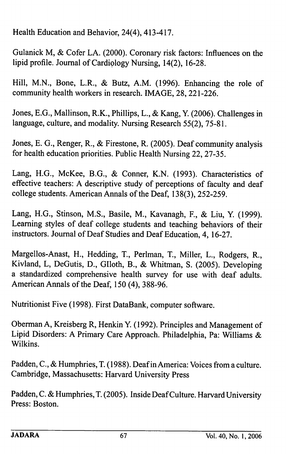Health Education and Behavior, 24(4), 413-417.

Gulanick M, & Cofer LA. (2000). Coronary risk factors: Influences on the lipid profile. Journal of Cardiology Nursing, 14(2), 16-28.

Hill, M.N., Bone, L.R., & Butz, A.M. (1996). Enhancing the role of community health workers in research. IMAGE, 28, 221-226.

Jones, E.G., Mallinson, R.K., Phillips, L., & Kang, Y. (2006). Challenges in language, culture, and modality. Nursing Research 55(2), 75-81.

Jones, E. G., Renger, R., & Firestone, R. (2005). Deaf community analysis for health education priorities. Public Health Nursing 22, 27-35.

Lang, H.G., McKee, B.G., & Conner, K.N. (1993). Characteristics of effective teachers: A descriptive study of perceptions of faculty and deaf college students. American Annals of the Deaf, 138(3), 252-259.

Lang, H.G., Stinson, M.S., Basile, M., Kavanagh, P., & Liu, Y. (1999). Learning styles of deaf college students and teaching behaviors of their instructors. Journal of Deaf Studies and Deaf Education, 4, 16-27.

Margellos-Anast, H., Hedding, T., Perlman, T., Miller, L., Rodgers, R., Kivland, L, DeGutis, D., Glloth, B., & Whitman, S. (2005). Developing a standardized comprehensive health survey for use with deaf adults. American Annals of the Deaf, 150 (4), 388-96.

Nutritionist Five (1998). First DataBank, computer software.

Oberman A, Kreisberg R, Henkin Y. (1992). Principles and Management of Lipid Disorders: A Primary Care Approach. Philadelphia, Pa: Williams &. Wilkins.

Padden, C., & Humphries, T. (1988). Deaf in America: Voices from a culture. Cambridge, Massachusetts: Harvard University Press

Padden, C. & Humphries, T. (2005). Inside Deaf Culture. Harvard University Press: Boston.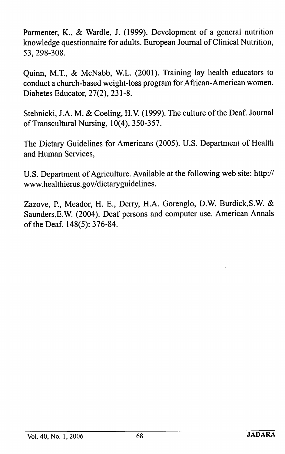Parmenter, K., & Wardle, J. (1999). Development of a general nutrition knowledge questionnaire for adults. European Journal of Clinical Nutrition, 53, 298-308.

Quinn, M.T., & McNabb, W.L. (2001). Training lay health educators to conduct a church-based weight-loss program for African-American women. Diabetes Educator, 27(2), 231-8.

Stebnicki, J.A. M. & Coeling, H.V. (1999). The culture of the Deaf. Journal of Transcultural Nursing, 10(4), 350-357.

The Dietary Guidelines for Americans (2005). U.S. Department of Health and Human Services,

U.S. Department of Agriculture. Available at the following web site; http:// www.healthierus.gov/dietaryguidelines.

Zazove, P., Meador, H. E., Derry, H.A. Gorenglo, D.W. Burdick,S.W. & Saunders,E.W. (2004). Deaf persons and computer use. American Annals of the Deaf. 148(5): 376-84.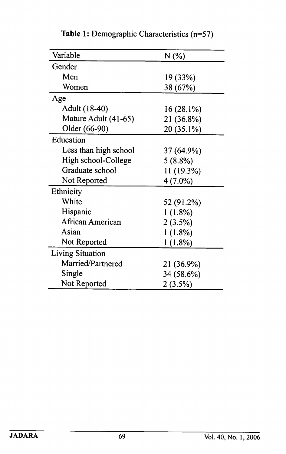| Variable                | N (%)      |
|-------------------------|------------|
| Gender                  |            |
| Men                     | 19 (33%)   |
| Women                   | 38 (67%)   |
| Age                     |            |
| Adult (18-40)           | 16 (28.1%) |
| Mature Adult (41-65)    | 21 (36.8%) |
| Older (66-90)           | 20 (35.1%) |
| Education               |            |
| Less than high school   | 37 (64.9%) |
| High school-College     | $5(8.8\%)$ |
| Graduate school         | 11 (19.3%) |
| Not Reported            | $4(7.0\%)$ |
| Ethnicity               |            |
| White                   | 52 (91.2%) |
| Hispanic                | 1(1.8%)    |
| African American        | 2(3.5%)    |
| Asian                   | 1(1.8%)    |
| Not Reported            | $1(1.8\%)$ |
| <b>Living Situation</b> |            |
| Married/Partnered       | 21 (36.9%) |
| Single                  | 34 (58.6%) |
| Not Reported            | $2(3.5\%)$ |

Table 1: Demographic Characteristics (n=57)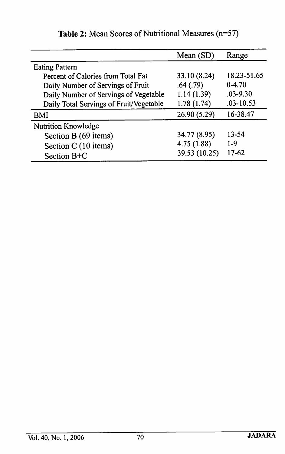|                                         | Mean (SD)     | Range         |
|-----------------------------------------|---------------|---------------|
| <b>Eating Pattern</b>                   |               |               |
| Percent of Calories from Total Fat      | 33.10 (8.24)  | 18.23-51.65   |
| Daily Number of Servings of Fruit       | .64(.79)      | $0-4.70$      |
| Daily Number of Servings of Vegetable   | 1.14(1.39)    | $.03 - 9.30$  |
| Daily Total Servings of Fruit/Vegetable | 1.78(1.74)    | $.03 - 10.53$ |
| BMI                                     | 26.90 (5.29)  | 16-38.47      |
| <b>Nutrition Knowledge</b>              |               |               |
| Section B (69 items)                    | 34.77 (8.95)  | 13-54         |
| Section C (10 items)                    | 4.75(1.88)    | $1-9$         |
| Section B+C                             | 39.53 (10.25) | $17-62$       |

Table 2: Mean Scores of Nutritional Measures (n=57)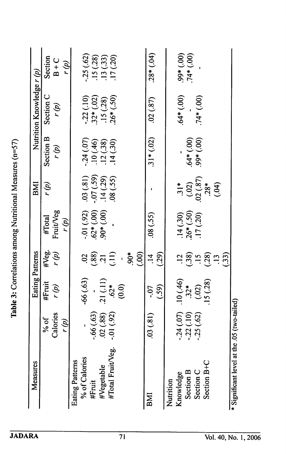| Measures                                    |                        | Eating Patterns               |                                           |                                         | BMI                                          |                            | Nutrition Knowledge r (p)                              |                          |
|---------------------------------------------|------------------------|-------------------------------|-------------------------------------------|-----------------------------------------|----------------------------------------------|----------------------------|--------------------------------------------------------|--------------------------|
|                                             | % of                   | #Fruit                        |                                           | #Total                                  | r (p)                                        | Section B                  | Section C                                              | Section                  |
|                                             | Calories               | r (p)                         | #Veg.<br>r (p)                            | Fruit/Veg                               |                                              | r (p)                      | r (g)                                                  | $B + C$                  |
|                                             | r (p)                  |                               |                                           | r (p)                                   |                                              |                            |                                                        | r (p)                    |
| <b>Eating Patterns</b>                      |                        |                               |                                           |                                         |                                              |                            |                                                        |                          |
| % of Calories                               |                        | 66(.63)                       |                                           |                                         | (03)(81)                                     | .24(.07)                   |                                                        | .25(.62)                 |
| #Fruit                                      | $-66(.63)$             |                               | $\frac{2}{3}$ $\frac{2}{3}$ $\frac{1}{1}$ | $-01$ (.92)<br>.62*(.00)<br>.90*(.00)   | $-07(.59)$<br>$.14(.29)$                     |                            | $-22(.10)$<br>$.32*(.02)$<br>$.15(.28)$<br>$.26*(.50)$ |                          |
| #Vegetable                                  | (88)                   | $-21(11)$<br>$.62*$           |                                           |                                         |                                              | $.10(0.46)$<br>$.12(0.38)$ |                                                        | $.15(.28)$<br>$.13(.33)$ |
| #Total Fruit/Veg                            | $-.01(92)$             |                               |                                           |                                         | $(25)$ 80                                    | 14(0.30)                   |                                                        | 17(20)                   |
|                                             |                        | (0.0)                         | $\mathbf{I}$                              |                                         |                                              |                            |                                                        |                          |
|                                             |                        |                               | $90*$                                     |                                         |                                              |                            |                                                        |                          |
|                                             |                        |                               | (00)                                      |                                         |                                              |                            |                                                        |                          |
| BMI                                         | 03(81)                 | $-0.7$                        | $\frac{4}{1}$                             | (55)                                    |                                              | $.31*(.02)$                | (87)                                                   | $.28*(.04)$              |
|                                             |                        | (.59)                         | (29)                                      |                                         |                                              |                            |                                                        |                          |
| Nutrition                                   |                        |                               |                                           |                                         |                                              |                            |                                                        |                          |
| Knowledge                                   |                        |                               |                                           |                                         | $\frac{*}{2!}$                               |                            | $64*(00)$                                              | $(00^{+1})$              |
| Section B                                   | $-24(07)$<br>$-22(10)$ | $10(0.46)$<br>$32*$<br>$(02)$ | $\frac{2}{3}$ $\frac{8}{3}$ $\frac{5}{1}$ | $.14(.30)$<br>$.26*(.50)$<br>$.17(.20)$ |                                              | (00)                       |                                                        | $.74*(.00)$              |
| Section C                                   | .25(.62)               |                               |                                           |                                         |                                              | (00) *66                   | $74*(00)$                                              |                          |
| Section B+C                                 |                        | 15(28)                        | (.28)                                     |                                         | $(0.02)$<br>$(0.87)$<br>$(0.87)$<br>$(0.87)$ |                            |                                                        |                          |
|                                             |                        |                               |                                           |                                         | (04)                                         |                            |                                                        |                          |
|                                             |                        |                               | (33)                                      |                                         |                                              |                            |                                                        |                          |
| * Significant level at the .05 (two-tailed) |                        |                               |                                           |                                         |                                              |                            |                                                        |                          |

Table 3: Correlations among Nutritional Measures (n=57) Table 3: Correlations among Nutritional Measures (n=57)